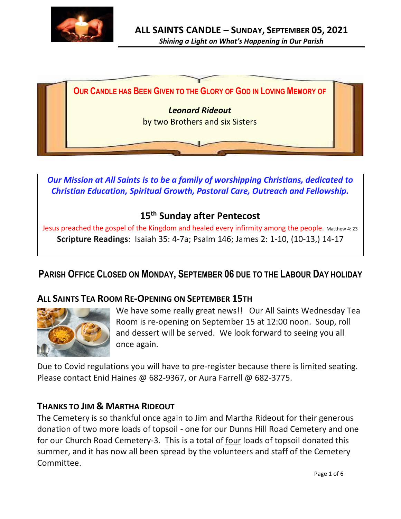



*Our Mission at All Saints is to be a family of worshipping Christians, dedicated to Christian Education, Spiritual Growth, Pastoral Care, Outreach and Fellowship.*

## **15 th Sunday after Pentecost**

Jesus preached the gospel of the Kingdom and healed every infirmity among the people. Matthew 4: 23 **Scripture Readings**: Isaiah 35: 4-7a; Psalm 146; James 2: 1-10, (10-13,) 14-17

# **PARISH OFFICE CLOSED ON MONDAY, SEPTEMBER 06 DUE TO THE LABOUR DAY HOLIDAY**

#### **ALL SAINTS TEA ROOM RE-OPENING ON SEPTEMBER 15TH**



We have some really great news!! Our All Saints Wednesday Tea Room is re-opening on September 15 at 12:00 noon. Soup, roll and dessert will be served. We look forward to seeing you all once again.

Due to Covid regulations you will have to pre-register because there is limited seating. Please contact Enid Haines @ 682-9367, or Aura Farrell @ 682-3775.

#### **THANKS TO JIM & MARTHA RIDEOUT**

The Cemetery is so thankful once again to Jim and Martha Rideout for their generous donation of two more loads of topsoil - one for our Dunns Hill Road Cemetery and one for our Church Road Cemetery-3. This is a total of four loads of topsoil donated this summer, and it has now all been spread by the volunteers and staff of the Cemetery Committee.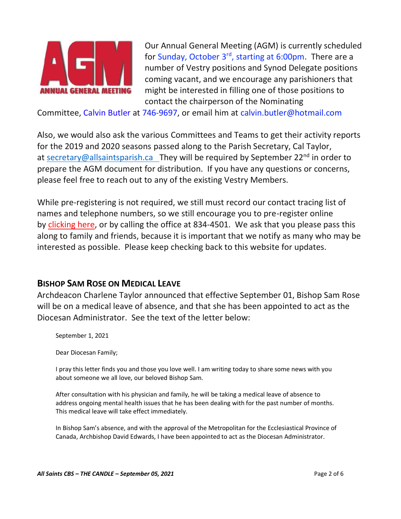

Our Annual General Meeting (AGM) is currently scheduled for Sunday, October 3<sup>rd</sup>, starting at 6:00pm. There are a number of Vestry positions and Synod Delegate positions coming vacant, and we encourage any parishioners that might be interested in filling one of those positions to contact the chairperson of the Nominating

Committee, Calvin Butler at 746-9697, or email him at calvin.butler@hotmail.com

Also, we would also ask the various Committees and Teams to get their activity reports for the 2019 and 2020 seasons passed along to the Parish Secretary, Cal Taylor, at [secretary@allsaintsparish.ca](mailto:secretary@allsaintsparish.ca?subject=Vestry%20Nominations) They will be required by September  $22^{nd}$  in order to prepare the AGM document for distribution. If you have any questions or concerns, please feel free to reach out to any of the existing Vestry Members.

While pre-registering is not required, we still must record our contact tracing list of names and telephone numbers, so we still encourage you to pre-register online by [clicking here,](http://allsaintsparish.ca/covid-pre-registration-form_1) or by calling the office at 834-4501. We ask that you please pass this along to family and friends, because it is important that we notify as many who may be interested as possible. Please keep checking back to this website for updates.

#### **BISHOP SAM ROSE ON MEDICAL LEAVE**

Archdeacon Charlene Taylor announced that effective September 01, Bishop Sam Rose will be on a medical leave of absence, and that she has been appointed to act as the Diocesan Administrator. See the text of the letter below:

September 1, 2021

Dear Diocesan Family;

I pray this letter finds you and those you love well. I am writing today to share some news with you about someone we all love, our beloved Bishop Sam.

After consultation with his physician and family, he will be taking a medical leave of absence to address ongoing mental health issues that he has been dealing with for the past number of months. This medical leave will take effect immediately.

In Bishop Sam's absence, and with the approval of the Metropolitan for the Ecclesiastical Province of Canada, Archbishop David Edwards, I have been appointed to act as the Diocesan Administrator.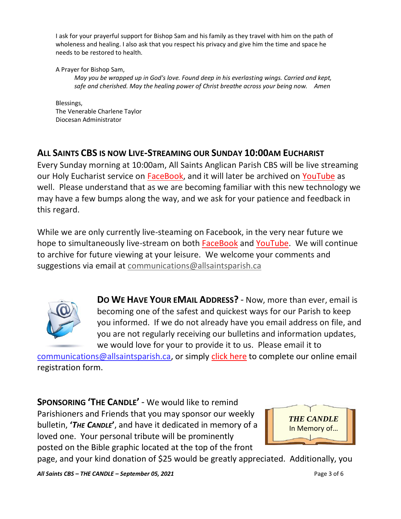I ask for your prayerful support for Bishop Sam and his family as they travel with him on the path of wholeness and healing. I also ask that you respect his privacy and give him the time and space he needs to be restored to health.

A Prayer for Bishop Sam,

*May you be wrapped up in God's love. Found deep in his everlasting wings. Carried and kept, safe and cherished. May the healing power of Christ breathe across your being now. Amen* 

Blessings, The Venerable Charlene Taylor Diocesan Administrator

### **ALL SAINTS CBS IS NOW LIVE-STREAMING OUR SUNDAY 10:00AM EUCHARIST**

Every Sunday morning at 10:00am, All Saints Anglican Parish CBS will be live streaming our Holy Eucharist service on [FaceBook,](https://www.facebook.com/AllSaintsAnglicanChurchCBS) and it will later be archived on [YouTube](https://www.youtube.com/results?search_query=all+saints+anglican+parish+cbs) as well. Please understand that as we are becoming familiar with this new technology we may have a few bumps along the way, and we ask for your patience and feedback in this regard.

While we are only currently live-steaming on Facebook, in the very near future we hope to simultaneously live-stream on both [FaceBook](https://www.facebook.com/AllSaintsAnglicanChurchCBS) and [YouTube.](https://www.youtube.com/results?search_query=all+saints+anglican+parish+cbs) We will continue to archive for future viewing at your leisure. We welcome your comments and suggestions via email at [communications@allsaintsparish.ca](mailto:communications@allsaintsparish.ca)



**DO WE HAVE YOUR EMAIL ADDRESS?** - Now, more than ever, email is becoming one of the safest and quickest ways for our Parish to keep you informed. If we do not already have you email address on file, and you are not regularly receiving our bulletins and information updates, we would love for your to provide it to us. Please email it to

[communications@allsaintsparish.ca,](mailto:communications@allsaintsparish.ca?subject=eMail%20Address%20Update) or simply [click here](http://allsaintsparish.ca/email_updates) to complete our online email registration form.

**SPONSORING 'THE CANDLE'** - We would like to remind Parishioners and Friends that you may sponsor our weekly bulletin, **'***THE CANDLE***'**, and have it dedicated in memory of a loved one. Your personal tribute will be prominently posted on the Bible graphic located at the top of the front



page, and your kind donation of \$25 would be greatly appreciated. Additionally, you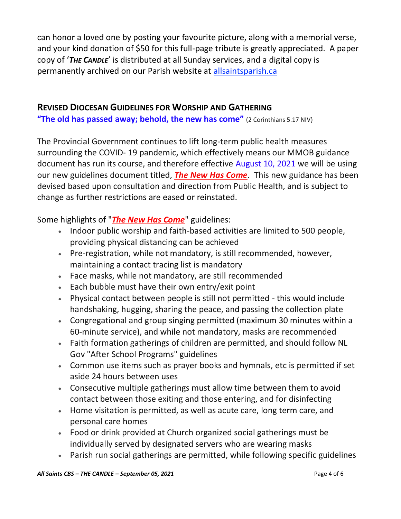can honor a loved one by posting your favourite picture, along with a memorial verse, and your kind donation of \$50 for this full-page tribute is greatly appreciated. A paper copy of '*THE CANDLE*' is distributed at all Sunday services, and a digital copy is permanently archived on our Parish website at [allsaintsparish.ca](http://allsaintsparish.ca/thecandle.html)

#### **REVISED DIOCESAN GUIDELINES FOR WORSHIP AND GATHERING**

**"The old has passed away; behold, the new has come"** (2 Corinthians 5.17 NIV)

The Provincial Government continues to lift long-term public health measures surrounding the COVID- 19 pandemic, which effectively means our MMOB guidance document has run its course, and therefore effective August 10, 2021 we will be using our new guidelines document titled, *[The New Has Come](https://anglicanenl.net/home/wp-content/uploads/2021/08/The-New-Has-Come-August-10-2021.pdf?fbclid=IwAR2_9nhbxB2LEc3XOqAP_nvoRu4G5Mt6NWIYwOEYNI0OtUl0atv2QwCfCY0)*. This new guidance has been devised based upon consultation and direction from Public Health, and is subject to change as further restrictions are eased or reinstated.

Some highlights of "*[The New Has Come](https://anglicanenl.net/home/wp-content/uploads/2021/08/The-New-Has-Come-August-10-2021.pdf?fbclid=IwAR2_9nhbxB2LEc3XOqAP_nvoRu4G5Mt6NWIYwOEYNI0OtUl0atv2QwCfCY0)*" guidelines:

- Indoor public worship and faith-based activities are limited to 500 people, providing physical distancing can be achieved
- Pre-registration, while not mandatory, is still recommended, however, maintaining a contact tracing list is mandatory
- Face masks, while not mandatory, are still recommended
- Each bubble must have their own entry/exit point
- Physical contact between people is still not permitted this would include handshaking, hugging, sharing the peace, and passing the collection plate
- Congregational and group singing permitted (maximum 30 minutes within a 60-minute service), and while not mandatory, masks are recommended
- Faith formation gatherings of children are permitted, and should follow NL Gov "After School Programs" guidelines
- Common use items such as prayer books and hymnals, etc is permitted if set aside 24 hours between uses
- Consecutive multiple gatherings must allow time between them to avoid contact between those exiting and those entering, and for disinfecting
- Home visitation is permitted, as well as acute care, long term care, and personal care homes
- Food or drink provided at Church organized social gatherings must be individually served by designated servers who are wearing masks
- Parish run social gatherings are permitted, while following specific guidelines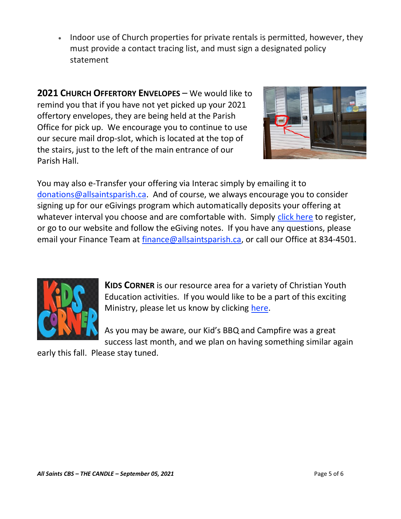• Indoor use of Church properties for private rentals is permitted, however, they must provide a contact tracing list, and must sign a designated policy statement

**2021 CHURCH OFFERTORY ENVELOPES** – We would like to remind you that if you have not yet picked up your 2021 offertory envelopes, they are being held at the Parish Office for pick up. We encourage you to continue to use our secure mail drop-slot, which is located at the top of the stairs, just to the left of the main entrance of our Parish Hall.



You may also e-Transfer your offering via Interac simply by emailing it to [donations@allsaintsparish.ca.](mailto:donations@allsaintsparish.ca) And of course, we always encourage you to consider signing up for our eGivings program which automatically deposits your offering at whatever interval you choose and are comfortable with. Simply [click here](http://allsaintsparish.ca/egiving-online-information-form) to register, or go to our website and follow the eGiving notes. If you have [any](https://wfsites-to.websitecreatorprotool.com/870a5dd5.com/Admin/%7BSK_NODEID__22939341__SK%7D) questions, please email your Finance Team at [finance@allsaintsparish.ca,](mailto:finance@allsaintsparish.ca) or call our Office at 834-4501.



**KIDS CORNER** is our resource area for a variety of Christian Youth Education activities. If you would like to be a part of this exciting Ministry, please let us know by clicking [here.](http://allsaintsparish.ca/index.html#comments)

As you may be aware, our Kid's BBQ and Campfire was a great success last month, and we plan on having something similar again

early this fall. Please stay tuned.